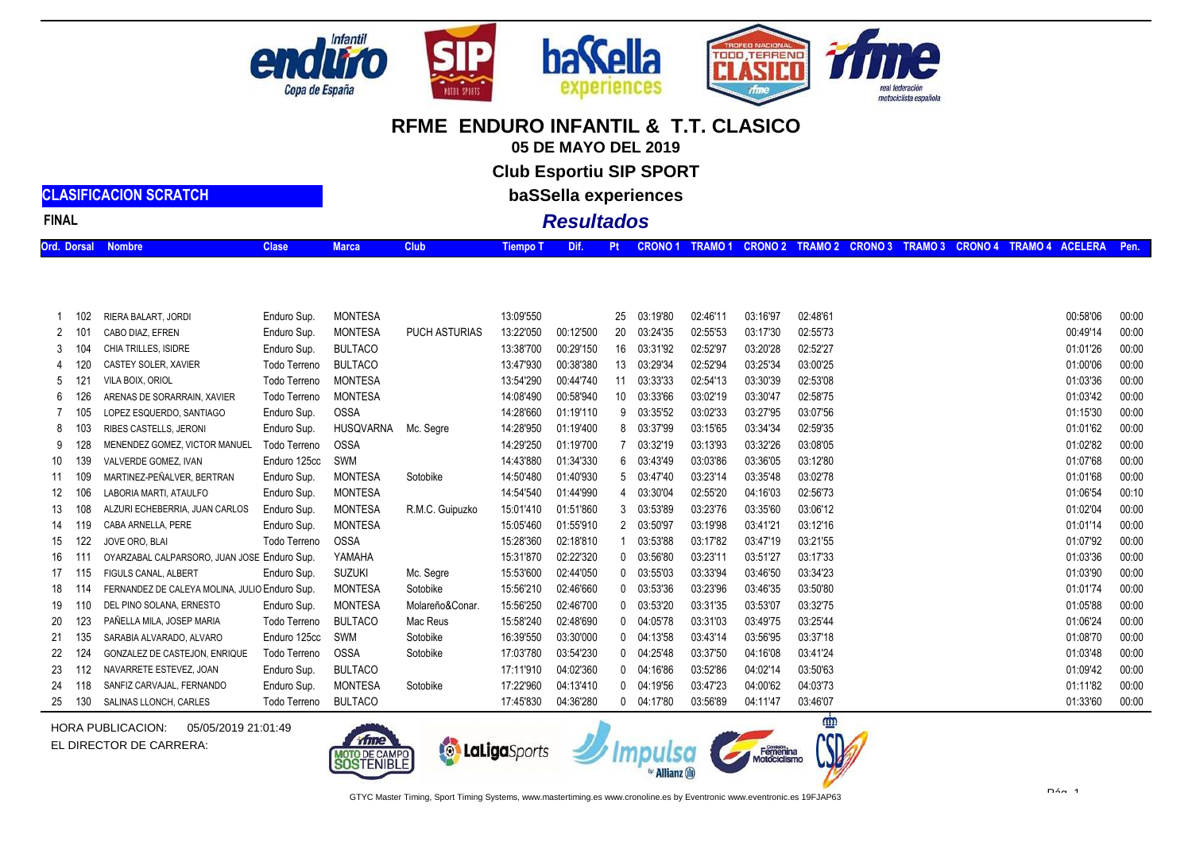

**05 DE MAYO DEL 2019**

**Club Esportiu SIP SPORT**

**baSSella experiences**

## **Resultados**

**CLASIFICACION SCRATCHFINAL**

| Ord. Dorsal Nombre<br><b>Clase</b> Clase | $\blacksquare$ Marca $\blacksquare$ | . Tiempo T Dif. Pt CRONO 1 TRAMO 1 CRONO 2 TRAMO 2 CRONO 3 TRAMO 3 CRONO 4 TRAMO 4 ACELERA Pen. |  |  |  |  |  |  |
|------------------------------------------|-------------------------------------|-------------------------------------------------------------------------------------------------|--|--|--|--|--|--|
|                                          |                                     |                                                                                                 |  |  |  |  |  |  |

| 13:09'550<br>02:48'61<br>00:58'06<br>00:00<br><b>MONTESA</b><br>03:19'80<br>03:16'97<br>Enduro Sup.<br>25<br>02:46'11<br>102<br>RIERA BALART, JORDI<br>00:00<br>13:22'050<br>02:55'73<br>00:49'14<br><b>MONTESA</b><br><b>PUCH ASTURIAS</b><br>00:12'500<br>20<br>03:24'35<br>02:55'53<br>03:17'30<br>Enduro Sup.<br>2<br>-101<br>CABO DIAZ, EFREN<br>01:01'26<br>00:00<br><b>BULTACO</b><br>13:38'700<br>00:29'150<br>03:20'28<br>02:52'27<br>16<br>03:31'92<br>02:52'97<br>CHIA TRILLES, ISIDRE<br>Enduro Sup.<br>3<br>-104<br>00:00<br><b>BULTACO</b><br>13:47'930<br>00:38'380<br>03:29'34<br>02:52'94<br>03:25'34<br>03:00'25<br>01:00'06<br>Todo Terreno<br>13<br>CASTEY SOLER, XAVIER<br>4 120<br>00:44'740<br>01:03'36<br>00:00<br>Todo Terreno<br><b>MONTESA</b><br>13:54'290<br>03:33'33<br>02:54'13<br>03:30'39<br>02:53'08<br><b>VILA BOIX, ORIOL</b><br>11<br>5<br>-12<br>01:03'42<br><b>MONTESA</b><br>14:08'490<br>00:58'940<br>03:33'66<br>03:02'19<br>03:30'47<br>02:58'75<br>00:00<br>Todo Terreno<br>10<br>126<br>ARENAS DE SORARRAIN, XAVIER<br>6<br>14:28'660<br>01:15'30<br>01:19'110<br>9 03:35'52<br>03:02'33<br>03:27'95<br>03:07'56<br>00:00<br>LOPEZ ESQUERDO. SANTIAGO<br>Enduro Sup.<br><b>OSSA</b><br>105<br>14:28'950<br>01:19'400<br>8 03:37'99<br>03:15'65<br>03:34'34<br>01:01'62<br>00:00<br>Enduro Sup.<br><b>HUSQVARNA</b><br>02:59'35<br><b>RIBES CASTELLS, JERONI</b><br>Mc. Seare<br>8<br>- 103<br>128<br>14:29'250<br>01:19'700<br>03:32'19<br>03:32'26<br>01:02'82<br>00:00<br><b>OSSA</b><br>03:13'93<br>03:08'05<br>Todo Terreno<br>9<br>MENENDEZ GOMEZ. VICTOR MANUEL<br>139<br>14:43'880<br>01:34'330<br>6 03:43'49<br>03:12'80<br>01:07'68<br>00:00<br>Enduro 125cc<br>SWM<br>03:03'86<br>03:36'05<br>10<br>VALVERDE GOMEZ. IVAN<br>14:50'480<br>01:40'930<br>5 03:47'40<br>03:23'14<br>03:35'48<br>03:02'78<br>01:01'68<br>00:00<br>109<br>MARTINEZ-PEÑALVER, BERTRAN<br>Enduro Sup.<br><b>MONTESA</b><br>Sotobike<br>11<br>00:10<br><b>MONTESA</b><br>14:54'540<br>01:44'990<br>4 03:30'04<br>02:55'20<br>04:16'03<br>02:56'73<br>01:06'54<br>Enduro Sup.<br>12<br>106<br>LABORIA MARTI. ATAULFO<br>15:01'410<br>03:53'89<br>03:23'76<br>03:35'60<br>03:06'12<br>01:02'04<br>00:00<br><b>MONTESA</b><br>R.M.C. Guipuzko<br>01:51'860<br>108<br>Enduro Sup.<br>3<br>13<br>ALZURI ECHEBERRIA. JUAN CARLOS<br>03:12'16<br>01:01'14<br>00:00<br>15:05'460<br>01:55'910<br>2 03:50'97<br>03:19'98<br>03:41'21<br>Enduro Sup.<br><b>MONTESA</b><br>CABA ARNELLA, PERE<br>119<br>14<br>15:28'360<br>01:07'92<br>122<br><b>OSSA</b><br>02:18'810<br>03:53'88<br>03:17'82<br>03:47'19<br>03:21'55<br>00:00<br>JOVE ORO, BLAI<br>Todo Terreno<br>15<br>01:03'36<br>00:00<br>15:31'870<br>02:22'320<br>$0$ $03:56'80$<br>03:23'11<br>03:51'27<br>03:17'33<br>OYARZABAL CALPARSORO, JUAN JOSE Enduro Sup.<br>YAMAHA<br>16<br>$11^{\circ}$<br>01:03'90<br>00:00<br><b>SUZUKI</b><br>15:53'600<br>02:44'050<br>03:33'94<br>03:46'50<br>03:34'23<br>$0$ $03:55'03$<br>FIGULS CANAL, ALBERT<br>Enduro Sup.<br>Mc. Segre<br>17<br>-115<br>15:56'210<br>01:01'74<br>00:00<br><b>MONTESA</b><br>Sotobike<br>02:46'660<br>$0$ $03:53'36$<br>03:23'96<br>03:46'35<br>03:50'80<br>FERNANDEZ DE CALEYA MOLINA, JULIO Enduro Sup.<br>18<br>114<br>15:56'250<br>02:46'700<br>$0$ $03:53'20$<br>03:53'07<br>03:32'75<br>01:05'88<br>00:00<br>DEL PINO SOLANA. ERNESTO<br>Enduro Sup.<br><b>MONTESA</b><br>Molareño&Conar.<br>03:31'35<br>19<br>110<br>123<br>15:58'240<br>02:48'690<br>0 04:05'78<br>03:25'44<br>01:06'24<br>00:00<br>PAÑELLA MILA, JOSEP MARIA<br>03:31'03<br>03:49'75<br>Todo Terreno<br><b>BULTACO</b><br>Mac Reus<br>01:08'70<br>135<br>Enduro 125cc<br>16:39'550<br>03:30'000<br>$0$ $04:13'58$<br>03:43'14<br>03:56'95<br>03:37'18<br>00:00<br>SWM<br>Sotobike<br>SARABIA ALVARADO. ALVARO<br>17:03'780<br>$0$ $04:25'48$<br>01:03'48<br>00:00<br>124<br>Todo Terreno<br><b>OSSA</b><br>03:54'230<br>03:37'50<br>04:16'08<br>03:41'24<br>Sotobike<br>GONZALEZ DE CASTEJON. ENRIQUE<br>04:02'14<br>01:09'42<br>00:00<br>17:11'910<br>04:02'360<br>$0$ $04:16'86$<br>03:52'86<br>03:50'63<br>NAVARRETE ESTEVEZ. JOAN<br>Enduro Sup.<br><b>BULTACO</b><br>-112<br>17:22'960<br>01:11'82<br><b>MONTESA</b><br>04:13'410<br>0 04:19'56<br>03:47'23<br>04:00'62<br>04:03'73<br>00:00<br>118<br>SANFIZ CARVAJAL. FERNANDO<br>Enduro Sup.<br>Sotobike<br>24<br>04:36'280<br>03:46'07<br>01:33'60<br>00:00<br>130<br><b>BULTACO</b><br>17:45'830<br>$0$ $04:17'80$<br>03:56'89<br>04:11'47<br>SALINAS LLONCH. CARLES<br>Todo Terreno<br>25 |     |  |  |  |  |  |  |  |  |
|--------------------------------------------------------------------------------------------------------------------------------------------------------------------------------------------------------------------------------------------------------------------------------------------------------------------------------------------------------------------------------------------------------------------------------------------------------------------------------------------------------------------------------------------------------------------------------------------------------------------------------------------------------------------------------------------------------------------------------------------------------------------------------------------------------------------------------------------------------------------------------------------------------------------------------------------------------------------------------------------------------------------------------------------------------------------------------------------------------------------------------------------------------------------------------------------------------------------------------------------------------------------------------------------------------------------------------------------------------------------------------------------------------------------------------------------------------------------------------------------------------------------------------------------------------------------------------------------------------------------------------------------------------------------------------------------------------------------------------------------------------------------------------------------------------------------------------------------------------------------------------------------------------------------------------------------------------------------------------------------------------------------------------------------------------------------------------------------------------------------------------------------------------------------------------------------------------------------------------------------------------------------------------------------------------------------------------------------------------------------------------------------------------------------------------------------------------------------------------------------------------------------------------------------------------------------------------------------------------------------------------------------------------------------------------------------------------------------------------------------------------------------------------------------------------------------------------------------------------------------------------------------------------------------------------------------------------------------------------------------------------------------------------------------------------------------------------------------------------------------------------------------------------------------------------------------------------------------------------------------------------------------------------------------------------------------------------------------------------------------------------------------------------------------------------------------------------------------------------------------------------------------------------------------------------------------------------------------------------------------------------------------------------------------------------------------------------------------------------------------------------------------------------------------------------------------------------------------------------------------------------------------------------------------------------------------------------------------------------------------------------------------------------------------------------------------------------------------------------------------------------------------------------------------------------------------------------------------------------------------------------------------------------------------------------------------------------------------------------------------------------------------------------------------------------------------------------------------------------------------------------------------------------------------------------------------------------|-----|--|--|--|--|--|--|--|--|
|                                                                                                                                                                                                                                                                                                                                                                                                                                                                                                                                                                                                                                                                                                                                                                                                                                                                                                                                                                                                                                                                                                                                                                                                                                                                                                                                                                                                                                                                                                                                                                                                                                                                                                                                                                                                                                                                                                                                                                                                                                                                                                                                                                                                                                                                                                                                                                                                                                                                                                                                                                                                                                                                                                                                                                                                                                                                                                                                                                                                                                                                                                                                                                                                                                                                                                                                                                                                                                                                                                                                                                                                                                                                                                                                                                                                                                                                                                                                                                                                                                                                                                                                                                                                                                                                                                                                                                                                                                                                                                                                                                                |     |  |  |  |  |  |  |  |  |
|                                                                                                                                                                                                                                                                                                                                                                                                                                                                                                                                                                                                                                                                                                                                                                                                                                                                                                                                                                                                                                                                                                                                                                                                                                                                                                                                                                                                                                                                                                                                                                                                                                                                                                                                                                                                                                                                                                                                                                                                                                                                                                                                                                                                                                                                                                                                                                                                                                                                                                                                                                                                                                                                                                                                                                                                                                                                                                                                                                                                                                                                                                                                                                                                                                                                                                                                                                                                                                                                                                                                                                                                                                                                                                                                                                                                                                                                                                                                                                                                                                                                                                                                                                                                                                                                                                                                                                                                                                                                                                                                                                                |     |  |  |  |  |  |  |  |  |
|                                                                                                                                                                                                                                                                                                                                                                                                                                                                                                                                                                                                                                                                                                                                                                                                                                                                                                                                                                                                                                                                                                                                                                                                                                                                                                                                                                                                                                                                                                                                                                                                                                                                                                                                                                                                                                                                                                                                                                                                                                                                                                                                                                                                                                                                                                                                                                                                                                                                                                                                                                                                                                                                                                                                                                                                                                                                                                                                                                                                                                                                                                                                                                                                                                                                                                                                                                                                                                                                                                                                                                                                                                                                                                                                                                                                                                                                                                                                                                                                                                                                                                                                                                                                                                                                                                                                                                                                                                                                                                                                                                                |     |  |  |  |  |  |  |  |  |
|                                                                                                                                                                                                                                                                                                                                                                                                                                                                                                                                                                                                                                                                                                                                                                                                                                                                                                                                                                                                                                                                                                                                                                                                                                                                                                                                                                                                                                                                                                                                                                                                                                                                                                                                                                                                                                                                                                                                                                                                                                                                                                                                                                                                                                                                                                                                                                                                                                                                                                                                                                                                                                                                                                                                                                                                                                                                                                                                                                                                                                                                                                                                                                                                                                                                                                                                                                                                                                                                                                                                                                                                                                                                                                                                                                                                                                                                                                                                                                                                                                                                                                                                                                                                                                                                                                                                                                                                                                                                                                                                                                                |     |  |  |  |  |  |  |  |  |
|                                                                                                                                                                                                                                                                                                                                                                                                                                                                                                                                                                                                                                                                                                                                                                                                                                                                                                                                                                                                                                                                                                                                                                                                                                                                                                                                                                                                                                                                                                                                                                                                                                                                                                                                                                                                                                                                                                                                                                                                                                                                                                                                                                                                                                                                                                                                                                                                                                                                                                                                                                                                                                                                                                                                                                                                                                                                                                                                                                                                                                                                                                                                                                                                                                                                                                                                                                                                                                                                                                                                                                                                                                                                                                                                                                                                                                                                                                                                                                                                                                                                                                                                                                                                                                                                                                                                                                                                                                                                                                                                                                                |     |  |  |  |  |  |  |  |  |
|                                                                                                                                                                                                                                                                                                                                                                                                                                                                                                                                                                                                                                                                                                                                                                                                                                                                                                                                                                                                                                                                                                                                                                                                                                                                                                                                                                                                                                                                                                                                                                                                                                                                                                                                                                                                                                                                                                                                                                                                                                                                                                                                                                                                                                                                                                                                                                                                                                                                                                                                                                                                                                                                                                                                                                                                                                                                                                                                                                                                                                                                                                                                                                                                                                                                                                                                                                                                                                                                                                                                                                                                                                                                                                                                                                                                                                                                                                                                                                                                                                                                                                                                                                                                                                                                                                                                                                                                                                                                                                                                                                                |     |  |  |  |  |  |  |  |  |
|                                                                                                                                                                                                                                                                                                                                                                                                                                                                                                                                                                                                                                                                                                                                                                                                                                                                                                                                                                                                                                                                                                                                                                                                                                                                                                                                                                                                                                                                                                                                                                                                                                                                                                                                                                                                                                                                                                                                                                                                                                                                                                                                                                                                                                                                                                                                                                                                                                                                                                                                                                                                                                                                                                                                                                                                                                                                                                                                                                                                                                                                                                                                                                                                                                                                                                                                                                                                                                                                                                                                                                                                                                                                                                                                                                                                                                                                                                                                                                                                                                                                                                                                                                                                                                                                                                                                                                                                                                                                                                                                                                                |     |  |  |  |  |  |  |  |  |
|                                                                                                                                                                                                                                                                                                                                                                                                                                                                                                                                                                                                                                                                                                                                                                                                                                                                                                                                                                                                                                                                                                                                                                                                                                                                                                                                                                                                                                                                                                                                                                                                                                                                                                                                                                                                                                                                                                                                                                                                                                                                                                                                                                                                                                                                                                                                                                                                                                                                                                                                                                                                                                                                                                                                                                                                                                                                                                                                                                                                                                                                                                                                                                                                                                                                                                                                                                                                                                                                                                                                                                                                                                                                                                                                                                                                                                                                                                                                                                                                                                                                                                                                                                                                                                                                                                                                                                                                                                                                                                                                                                                |     |  |  |  |  |  |  |  |  |
|                                                                                                                                                                                                                                                                                                                                                                                                                                                                                                                                                                                                                                                                                                                                                                                                                                                                                                                                                                                                                                                                                                                                                                                                                                                                                                                                                                                                                                                                                                                                                                                                                                                                                                                                                                                                                                                                                                                                                                                                                                                                                                                                                                                                                                                                                                                                                                                                                                                                                                                                                                                                                                                                                                                                                                                                                                                                                                                                                                                                                                                                                                                                                                                                                                                                                                                                                                                                                                                                                                                                                                                                                                                                                                                                                                                                                                                                                                                                                                                                                                                                                                                                                                                                                                                                                                                                                                                                                                                                                                                                                                                |     |  |  |  |  |  |  |  |  |
|                                                                                                                                                                                                                                                                                                                                                                                                                                                                                                                                                                                                                                                                                                                                                                                                                                                                                                                                                                                                                                                                                                                                                                                                                                                                                                                                                                                                                                                                                                                                                                                                                                                                                                                                                                                                                                                                                                                                                                                                                                                                                                                                                                                                                                                                                                                                                                                                                                                                                                                                                                                                                                                                                                                                                                                                                                                                                                                                                                                                                                                                                                                                                                                                                                                                                                                                                                                                                                                                                                                                                                                                                                                                                                                                                                                                                                                                                                                                                                                                                                                                                                                                                                                                                                                                                                                                                                                                                                                                                                                                                                                |     |  |  |  |  |  |  |  |  |
|                                                                                                                                                                                                                                                                                                                                                                                                                                                                                                                                                                                                                                                                                                                                                                                                                                                                                                                                                                                                                                                                                                                                                                                                                                                                                                                                                                                                                                                                                                                                                                                                                                                                                                                                                                                                                                                                                                                                                                                                                                                                                                                                                                                                                                                                                                                                                                                                                                                                                                                                                                                                                                                                                                                                                                                                                                                                                                                                                                                                                                                                                                                                                                                                                                                                                                                                                                                                                                                                                                                                                                                                                                                                                                                                                                                                                                                                                                                                                                                                                                                                                                                                                                                                                                                                                                                                                                                                                                                                                                                                                                                |     |  |  |  |  |  |  |  |  |
|                                                                                                                                                                                                                                                                                                                                                                                                                                                                                                                                                                                                                                                                                                                                                                                                                                                                                                                                                                                                                                                                                                                                                                                                                                                                                                                                                                                                                                                                                                                                                                                                                                                                                                                                                                                                                                                                                                                                                                                                                                                                                                                                                                                                                                                                                                                                                                                                                                                                                                                                                                                                                                                                                                                                                                                                                                                                                                                                                                                                                                                                                                                                                                                                                                                                                                                                                                                                                                                                                                                                                                                                                                                                                                                                                                                                                                                                                                                                                                                                                                                                                                                                                                                                                                                                                                                                                                                                                                                                                                                                                                                |     |  |  |  |  |  |  |  |  |
|                                                                                                                                                                                                                                                                                                                                                                                                                                                                                                                                                                                                                                                                                                                                                                                                                                                                                                                                                                                                                                                                                                                                                                                                                                                                                                                                                                                                                                                                                                                                                                                                                                                                                                                                                                                                                                                                                                                                                                                                                                                                                                                                                                                                                                                                                                                                                                                                                                                                                                                                                                                                                                                                                                                                                                                                                                                                                                                                                                                                                                                                                                                                                                                                                                                                                                                                                                                                                                                                                                                                                                                                                                                                                                                                                                                                                                                                                                                                                                                                                                                                                                                                                                                                                                                                                                                                                                                                                                                                                                                                                                                |     |  |  |  |  |  |  |  |  |
|                                                                                                                                                                                                                                                                                                                                                                                                                                                                                                                                                                                                                                                                                                                                                                                                                                                                                                                                                                                                                                                                                                                                                                                                                                                                                                                                                                                                                                                                                                                                                                                                                                                                                                                                                                                                                                                                                                                                                                                                                                                                                                                                                                                                                                                                                                                                                                                                                                                                                                                                                                                                                                                                                                                                                                                                                                                                                                                                                                                                                                                                                                                                                                                                                                                                                                                                                                                                                                                                                                                                                                                                                                                                                                                                                                                                                                                                                                                                                                                                                                                                                                                                                                                                                                                                                                                                                                                                                                                                                                                                                                                |     |  |  |  |  |  |  |  |  |
|                                                                                                                                                                                                                                                                                                                                                                                                                                                                                                                                                                                                                                                                                                                                                                                                                                                                                                                                                                                                                                                                                                                                                                                                                                                                                                                                                                                                                                                                                                                                                                                                                                                                                                                                                                                                                                                                                                                                                                                                                                                                                                                                                                                                                                                                                                                                                                                                                                                                                                                                                                                                                                                                                                                                                                                                                                                                                                                                                                                                                                                                                                                                                                                                                                                                                                                                                                                                                                                                                                                                                                                                                                                                                                                                                                                                                                                                                                                                                                                                                                                                                                                                                                                                                                                                                                                                                                                                                                                                                                                                                                                |     |  |  |  |  |  |  |  |  |
|                                                                                                                                                                                                                                                                                                                                                                                                                                                                                                                                                                                                                                                                                                                                                                                                                                                                                                                                                                                                                                                                                                                                                                                                                                                                                                                                                                                                                                                                                                                                                                                                                                                                                                                                                                                                                                                                                                                                                                                                                                                                                                                                                                                                                                                                                                                                                                                                                                                                                                                                                                                                                                                                                                                                                                                                                                                                                                                                                                                                                                                                                                                                                                                                                                                                                                                                                                                                                                                                                                                                                                                                                                                                                                                                                                                                                                                                                                                                                                                                                                                                                                                                                                                                                                                                                                                                                                                                                                                                                                                                                                                |     |  |  |  |  |  |  |  |  |
|                                                                                                                                                                                                                                                                                                                                                                                                                                                                                                                                                                                                                                                                                                                                                                                                                                                                                                                                                                                                                                                                                                                                                                                                                                                                                                                                                                                                                                                                                                                                                                                                                                                                                                                                                                                                                                                                                                                                                                                                                                                                                                                                                                                                                                                                                                                                                                                                                                                                                                                                                                                                                                                                                                                                                                                                                                                                                                                                                                                                                                                                                                                                                                                                                                                                                                                                                                                                                                                                                                                                                                                                                                                                                                                                                                                                                                                                                                                                                                                                                                                                                                                                                                                                                                                                                                                                                                                                                                                                                                                                                                                |     |  |  |  |  |  |  |  |  |
|                                                                                                                                                                                                                                                                                                                                                                                                                                                                                                                                                                                                                                                                                                                                                                                                                                                                                                                                                                                                                                                                                                                                                                                                                                                                                                                                                                                                                                                                                                                                                                                                                                                                                                                                                                                                                                                                                                                                                                                                                                                                                                                                                                                                                                                                                                                                                                                                                                                                                                                                                                                                                                                                                                                                                                                                                                                                                                                                                                                                                                                                                                                                                                                                                                                                                                                                                                                                                                                                                                                                                                                                                                                                                                                                                                                                                                                                                                                                                                                                                                                                                                                                                                                                                                                                                                                                                                                                                                                                                                                                                                                |     |  |  |  |  |  |  |  |  |
|                                                                                                                                                                                                                                                                                                                                                                                                                                                                                                                                                                                                                                                                                                                                                                                                                                                                                                                                                                                                                                                                                                                                                                                                                                                                                                                                                                                                                                                                                                                                                                                                                                                                                                                                                                                                                                                                                                                                                                                                                                                                                                                                                                                                                                                                                                                                                                                                                                                                                                                                                                                                                                                                                                                                                                                                                                                                                                                                                                                                                                                                                                                                                                                                                                                                                                                                                                                                                                                                                                                                                                                                                                                                                                                                                                                                                                                                                                                                                                                                                                                                                                                                                                                                                                                                                                                                                                                                                                                                                                                                                                                |     |  |  |  |  |  |  |  |  |
|                                                                                                                                                                                                                                                                                                                                                                                                                                                                                                                                                                                                                                                                                                                                                                                                                                                                                                                                                                                                                                                                                                                                                                                                                                                                                                                                                                                                                                                                                                                                                                                                                                                                                                                                                                                                                                                                                                                                                                                                                                                                                                                                                                                                                                                                                                                                                                                                                                                                                                                                                                                                                                                                                                                                                                                                                                                                                                                                                                                                                                                                                                                                                                                                                                                                                                                                                                                                                                                                                                                                                                                                                                                                                                                                                                                                                                                                                                                                                                                                                                                                                                                                                                                                                                                                                                                                                                                                                                                                                                                                                                                | -20 |  |  |  |  |  |  |  |  |
|                                                                                                                                                                                                                                                                                                                                                                                                                                                                                                                                                                                                                                                                                                                                                                                                                                                                                                                                                                                                                                                                                                                                                                                                                                                                                                                                                                                                                                                                                                                                                                                                                                                                                                                                                                                                                                                                                                                                                                                                                                                                                                                                                                                                                                                                                                                                                                                                                                                                                                                                                                                                                                                                                                                                                                                                                                                                                                                                                                                                                                                                                                                                                                                                                                                                                                                                                                                                                                                                                                                                                                                                                                                                                                                                                                                                                                                                                                                                                                                                                                                                                                                                                                                                                                                                                                                                                                                                                                                                                                                                                                                | 21  |  |  |  |  |  |  |  |  |
|                                                                                                                                                                                                                                                                                                                                                                                                                                                                                                                                                                                                                                                                                                                                                                                                                                                                                                                                                                                                                                                                                                                                                                                                                                                                                                                                                                                                                                                                                                                                                                                                                                                                                                                                                                                                                                                                                                                                                                                                                                                                                                                                                                                                                                                                                                                                                                                                                                                                                                                                                                                                                                                                                                                                                                                                                                                                                                                                                                                                                                                                                                                                                                                                                                                                                                                                                                                                                                                                                                                                                                                                                                                                                                                                                                                                                                                                                                                                                                                                                                                                                                                                                                                                                                                                                                                                                                                                                                                                                                                                                                                | 22  |  |  |  |  |  |  |  |  |
|                                                                                                                                                                                                                                                                                                                                                                                                                                                                                                                                                                                                                                                                                                                                                                                                                                                                                                                                                                                                                                                                                                                                                                                                                                                                                                                                                                                                                                                                                                                                                                                                                                                                                                                                                                                                                                                                                                                                                                                                                                                                                                                                                                                                                                                                                                                                                                                                                                                                                                                                                                                                                                                                                                                                                                                                                                                                                                                                                                                                                                                                                                                                                                                                                                                                                                                                                                                                                                                                                                                                                                                                                                                                                                                                                                                                                                                                                                                                                                                                                                                                                                                                                                                                                                                                                                                                                                                                                                                                                                                                                                                | 23  |  |  |  |  |  |  |  |  |
|                                                                                                                                                                                                                                                                                                                                                                                                                                                                                                                                                                                                                                                                                                                                                                                                                                                                                                                                                                                                                                                                                                                                                                                                                                                                                                                                                                                                                                                                                                                                                                                                                                                                                                                                                                                                                                                                                                                                                                                                                                                                                                                                                                                                                                                                                                                                                                                                                                                                                                                                                                                                                                                                                                                                                                                                                                                                                                                                                                                                                                                                                                                                                                                                                                                                                                                                                                                                                                                                                                                                                                                                                                                                                                                                                                                                                                                                                                                                                                                                                                                                                                                                                                                                                                                                                                                                                                                                                                                                                                                                                                                |     |  |  |  |  |  |  |  |  |
|                                                                                                                                                                                                                                                                                                                                                                                                                                                                                                                                                                                                                                                                                                                                                                                                                                                                                                                                                                                                                                                                                                                                                                                                                                                                                                                                                                                                                                                                                                                                                                                                                                                                                                                                                                                                                                                                                                                                                                                                                                                                                                                                                                                                                                                                                                                                                                                                                                                                                                                                                                                                                                                                                                                                                                                                                                                                                                                                                                                                                                                                                                                                                                                                                                                                                                                                                                                                                                                                                                                                                                                                                                                                                                                                                                                                                                                                                                                                                                                                                                                                                                                                                                                                                                                                                                                                                                                                                                                                                                                                                                                |     |  |  |  |  |  |  |  |  |

HORA PUBLICACION:05/05/2019 21:01:49EL DIRECTOR DE CARRERA:

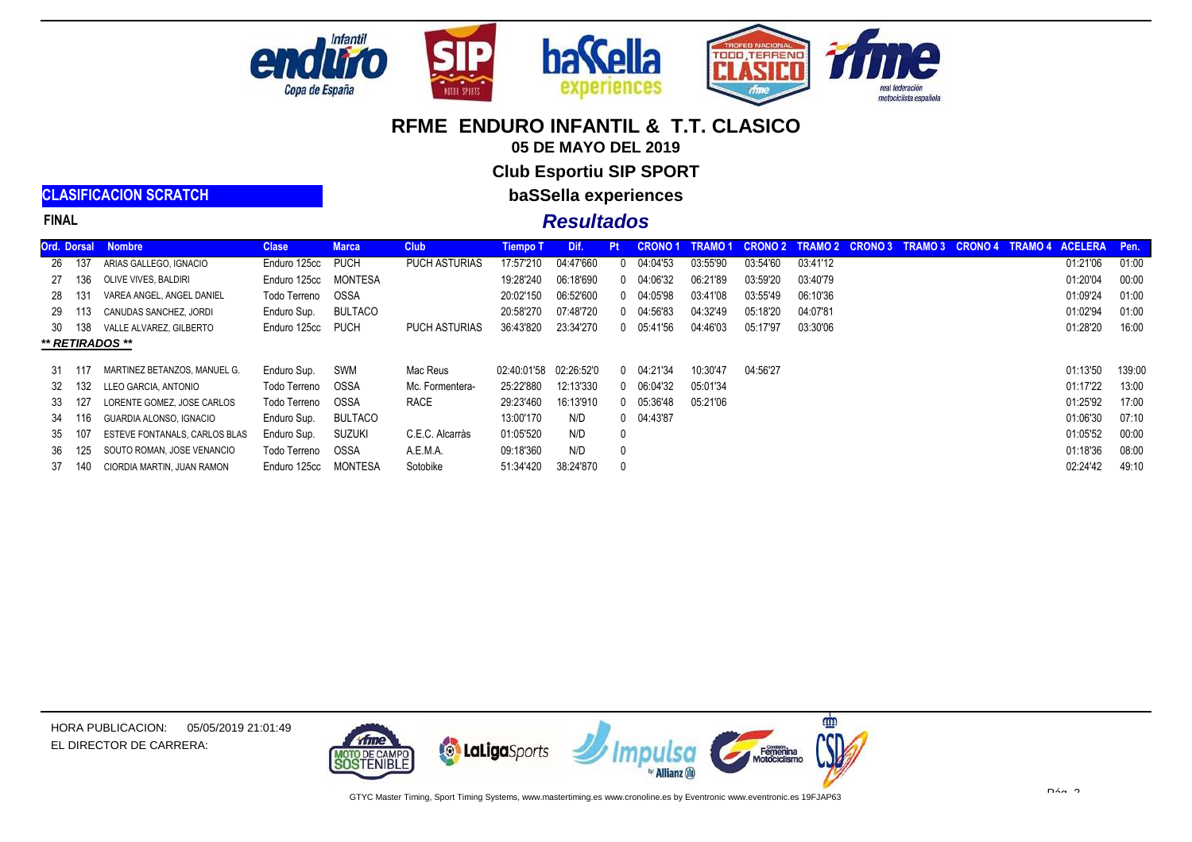

**WOTOR SPORT** 



motociclista española

m

Femenina

## **RFME ENDURO INFANTIL & T.T. CLASICO**

**05 DE MAYO DEL 2019**

**Club Esportiu SIP SPORT**

**baSSella experiences**

#### **Resultados**

|     |        | Ord. Dorsal Nombre            | <b>Clase</b> | <b>Marca</b> | <b>Club</b>          | <b>Tiempo T</b> | Dif.       | Pt.          | <b>CRONO1</b>  | TRAMO 1  | <b>CRONO 2</b> | <b>TRAMO 2</b> | <b>CRONO 3</b> | TRAMO 3 CRONO 4 | <b>TRAMO 4</b> | <b>ACELERA</b> | Pen.   |
|-----|--------|-------------------------------|--------------|--------------|----------------------|-----------------|------------|--------------|----------------|----------|----------------|----------------|----------------|-----------------|----------------|----------------|--------|
| -26 | -137   | ARIAS GALLEGO. IGNACIO        | Enduro 125cc | <b>PUCH</b>  | <b>PUCH ASTURIAS</b> | 17:57'210       | 04:47'660  | $0^{\circ}$  | 04:04'53       | 03:55'90 | 03:54'60       | 03:41'12       |                |                 |                | 01:21'06       | 01:00  |
|     | 27 136 | OLIVE VIVES. BALDIRI          | Enduro 125cc | MONTESA      |                      | 19:28'240       | 06:18'690  |              | 0 04:06'32     | 06:21'89 | 03:59'20       | 03:40'79       |                |                 |                | 01:20'04       | 00:00  |
| 28  | - 131  | VAREA ANGEL, ANGEL DANIEL     | Todo Terreno | OSSA         |                      | 20:02'150       | 06:52'600  | $\mathbf{0}$ | 04:05'98       | 03:41'08 | 03:55'49       | 06:10'36       |                |                 |                | 01:09'24       | 01:00  |
|     | 29 113 | CANUDAS SANCHEZ. JORDI        | Enduro Sup.  | BULTACO      |                      | 20:58'270       | 07:48'720  |              | 0 04:56'83     | 04:32'49 | 05:18'20       | 04:07'81       |                |                 |                | 01:02'94       | 01:00  |
|     | 30 138 | VALLE ALVAREZ. GILBERTO       | Enduro 125cc | <b>PUCH</b>  | <b>PUCH ASTURIAS</b> | 36:43'820       | 23:34'270  | $\mathbf{0}$ | 05:41'56       | 04:46'03 | 05:17'97       | 03:30'06       |                |                 |                | 01:28'20       | 16:00  |
|     |        | ** RETIRADOS **               |              |              |                      |                 |            |              |                |          |                |                |                |                 |                |                |        |
|     |        |                               |              |              |                      |                 |            |              |                |          |                |                |                |                 |                |                |        |
|     | 31 117 | MARTINEZ BETANZOS. MANUEL G.  | Enduro Sup.  | SWM          | Mac Reus             | 02:40:01'58     | 02:26:52'0 |              | $0$ $04:21'34$ | 10:30'47 | 04:56'27       |                |                |                 |                | 01:13'50       | 139:00 |
|     | 32 132 | LLEO GARCIA. ANTONIO          | Todo Terreno | OSSA         | Mc. Formentera-      | 25:22'880       | 12:13'330  | $\Omega$     | 06:04'32       | 05:01'34 |                |                |                |                 |                | 01:17'22       | 13:00  |
| 33  | -127   | LORENTE GOMEZ. JOSE CARLOS    | Todo Terreno | OSSA         | RACE                 | 29:23'460       | 16:13'910  |              | $0$ $05:36'48$ | 05:21'06 |                |                |                |                 |                | 01:25'92       | 17:00  |
| 34  | 116    | GUARDIA ALONSO. IGNACIO       | Enduro Sup.  | BULTACO      |                      | 13:00'170       | N/D        |              | $0$ $04:43'87$ |          |                |                |                |                 |                | 01:06'30       | 07:10  |
| 35  | -107   | ESTEVE FONTANALS, CARLOS BLAS | Enduro Sup.  | Suzuki       | C.E.C. Alcarràs      | 01:05'520       | N/D        | $\mathbf{0}$ |                |          |                |                |                |                 |                | 01:05'52       | 00:00  |
| 36  | 125    | SOUTO ROMAN. JOSE VENANCIO    | Todo Terreno | OSSA         | A.E.M.A.             | 09:18'360       | N/D        | $\mathbf{0}$ |                |          |                |                |                |                 |                | 01:18'36       | 08:00  |
| 37  | 140    | CIORDIA MARTIN. JUAN RAMON    | Enduro 125cc | MONTESA      | Sotobike             | 51:34'420       | 38:24'870  | $\mathbf{0}$ |                |          |                |                |                |                 |                | 02:24'42       | 49:10  |
|     |        |                               |              |              |                      |                 |            |              |                |          |                |                |                |                 |                |                |        |



**CLASIFICACION SCRATCH**

**FINAL**



**to LaLiga**Sports

**STENIBLE**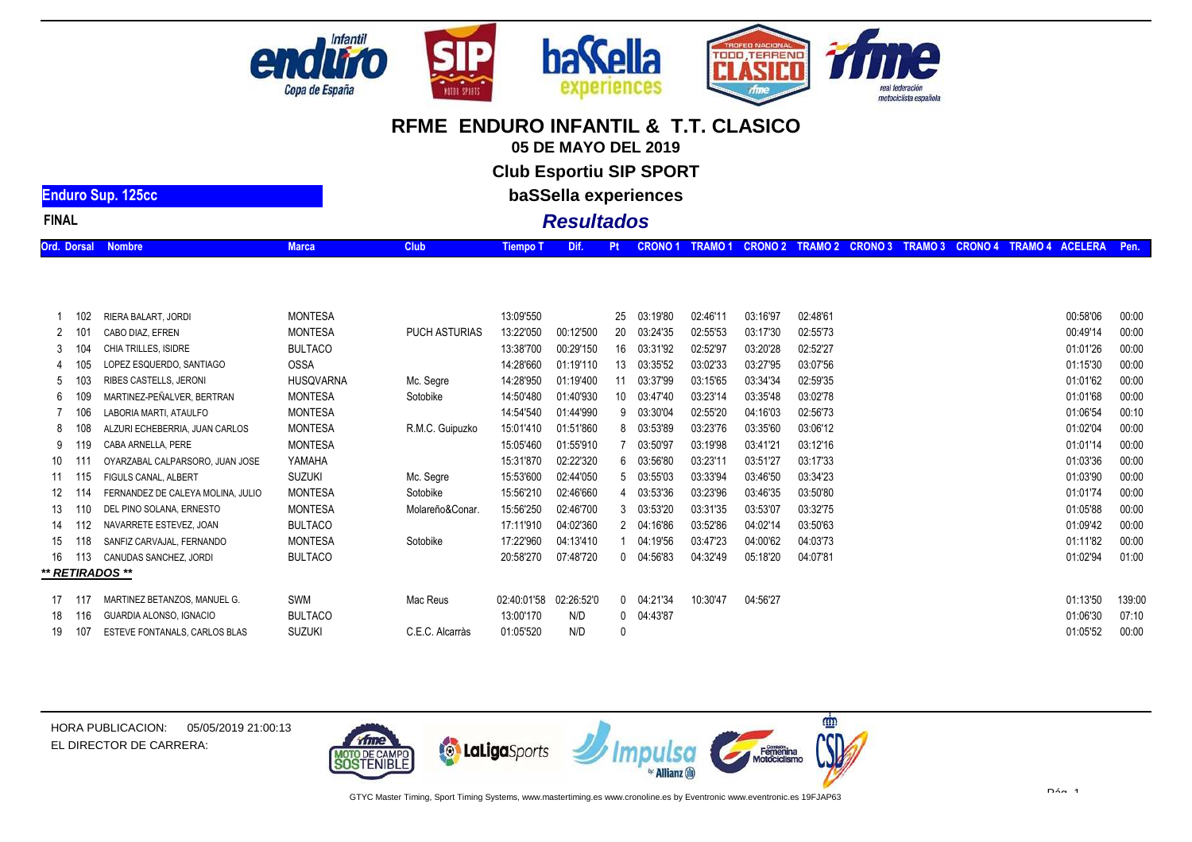

**05 DE MAYO DEL 2019**

**Club Esportiu SIP SPORT**

**baSSella experiences**

# **Resultados**

| FINAI |  |  |
|-------|--|--|

**Enduro Sup. 125cc**

| Ord. Dorsal Nombre |  |  | . Tiempo T Dif. Pt CRONO 1 TRAMO 1 CRONO 2 TRAMO 2 CRONO 3 TRAMO 3 CRONO 4 TRAMO 4 ACELERA Pen. ` |  |  |  |  |
|--------------------|--|--|---------------------------------------------------------------------------------------------------|--|--|--|--|

|    | 102 | RIERA BALART, JORDI               | <b>MONTESA</b>   |                      | 13:09'550   |            | 25 | 03:19'80       | 02:46'11 | 03:16'97 | 02:48'61 | 00:58'06 | 00:00  |
|----|-----|-----------------------------------|------------------|----------------------|-------------|------------|----|----------------|----------|----------|----------|----------|--------|
|    |     | CABO DIAZ, EFREN                  | <b>MONTESA</b>   | <b>PUCH ASTURIAS</b> | 13:22'050   | 00:12'500  |    | 20 03:24'35    | 02:55'53 | 03:17'30 | 02:55'73 | 00:49'14 | 00:00  |
| 3  |     | CHIA TRILLES, ISIDRE              | <b>BULTACO</b>   |                      | 13:38'700   | 00:29'150  |    | 16 03:31'92    | 02:52'97 | 03:20'28 | 02:52'27 | 01:01'26 | 00:00  |
|    |     | LOPEZ ESQUERDO, SANTIAGO          | OSSA             |                      | 14:28'660   | 01:19'110  | 13 | 03:35'52       | 03:02'33 | 03:27'95 | 03:07'56 | 01:15'30 | 00:00  |
| 5  |     | RIBES CASTELLS, JERONI            | <b>HUSQVARNA</b> | Mc. Segre            | 14:28'950   | 01:19'400  | 11 | 03:37'99       | 03:15'65 | 03:34'34 | 02:59'35 | 01:01'62 | 00:00  |
| 6  |     | MARTINEZ-PEÑALVER, BERTRAN        | <b>MONTESA</b>   | Sotobike             | 14:50'480   | 01:40'930  |    | 10 03:47'40    | 03:23'14 | 03:35'48 | 03:02'78 | 01:01'68 | 00:00  |
|    | 106 | LABORIA MARTI, ATAULFO            | <b>MONTESA</b>   |                      | 14:54'540   | 01:44'990  |    | 9 03:30'04     | 02:55'20 | 04:16'03 | 02:56'73 | 01:06'54 | 00:10  |
| 8  |     | ALZURI ECHEBERRIA, JUAN CARLOS    | <b>MONTESA</b>   | R.M.C. Guipuzko      | 15:01'410   | 01:51'860  |    | 8 03:53'89     | 03:23'76 | 03:35'60 | 03:06'12 | 01:02'04 | 00:00  |
|    | 19  | CABA ARNELLA, PERE                | <b>MONTESA</b>   |                      | 15:05'460   | 01:55'910  |    | 03:50'97       | 03:19'98 | 03:41'21 | 03:12'16 | 01:01'14 | 00:00  |
| 10 |     | OYARZABAL CALPARSORO, JUAN JOSE   | YAMAHA           |                      | 15:31'870   | 02:22'320  |    | 6 03:56'80     | 03:23'1  | 03:51'27 | 03:17'33 | 01:03'36 | 00:00  |
| 11 | 115 | FIGULS CANAL, ALBERT              | <b>SUZUKI</b>    | Mc. Segre            | 15:53'600   | 02:44'050  |    | 5 03:55'03     | 03:33'94 | 03:46'50 | 03:34'23 | 01:03'90 | 00:00  |
| 12 | 114 | FERNANDEZ DE CALEYA MOLINA, JULIO | <b>MONTESA</b>   | Sotobike             | 15:56'210   | 02:46'660  |    | 4 03:53'36     | 03:23'96 | 03:46'35 | 03:50'80 | 01:01'74 | 00:00  |
| 13 | 110 | DEL PINO SOLANA, ERNESTO          | <b>MONTESA</b>   | Molareño&Conar.      | 15:56'250   | 02:46'700  |    | 3 03:53'20     | 03:31'35 | 03:53'07 | 03:32'75 | 01:05'88 | 00:00  |
| 14 | 112 | NAVARRETE ESTEVEZ. JOAN           | <b>BULTACO</b>   |                      | 17:11'910   | 04:02'360  |    | 2 04:16'86     | 03:52'86 | 04:02'14 | 03:50'63 | 01:09'42 | 00:00  |
| 15 | 118 | SANFIZ CARVAJAL, FERNANDO         | <b>MONTESA</b>   | Sotobike             | 17:22'960   | 04:13'410  |    | 04:19'56       | 03:47'23 | 04:00'62 | 04:03'73 | 01:11'82 | 00:00  |
| 16 | 113 | CANUDAS SANCHEZ, JORDI            | <b>BULTACO</b>   |                      | 20:58'270   | 07:48'720  |    | $0$ $04:56'83$ | 04:32'49 | 05:18'20 | 04:07'81 | 01:02'94 | 01:00  |
|    |     | ** RETIRADOS **                   |                  |                      |             |            |    |                |          |          |          |          |        |
| 17 | 117 | MARTINEZ BETANZOS, MANUEL G.      | SWM              | Mac Reus             | 02:40:01'58 | 02:26:52'0 |    | $0$ 04:21'34   | 10:30'47 | 04:56'27 |          | 01:13'50 | 139:00 |
|    | 116 |                                   | <b>BULTACO</b>   |                      | 13:00'170   | N/D        |    | 0 04:43'87     |          |          |          | 01:06'30 | 07:10  |
| 18 |     | GUARDIA ALONSO, IGNACIO           |                  |                      |             |            |    |                |          |          |          |          |        |
| 19 |     | ESTEVE FONTANALS, CARLOS BLAS     | <b>SUZUKI</b>    | C.E.C. Alcarràs      | 01:05'520   | N/D        |    |                |          |          |          | 01:05'52 | 00:00  |



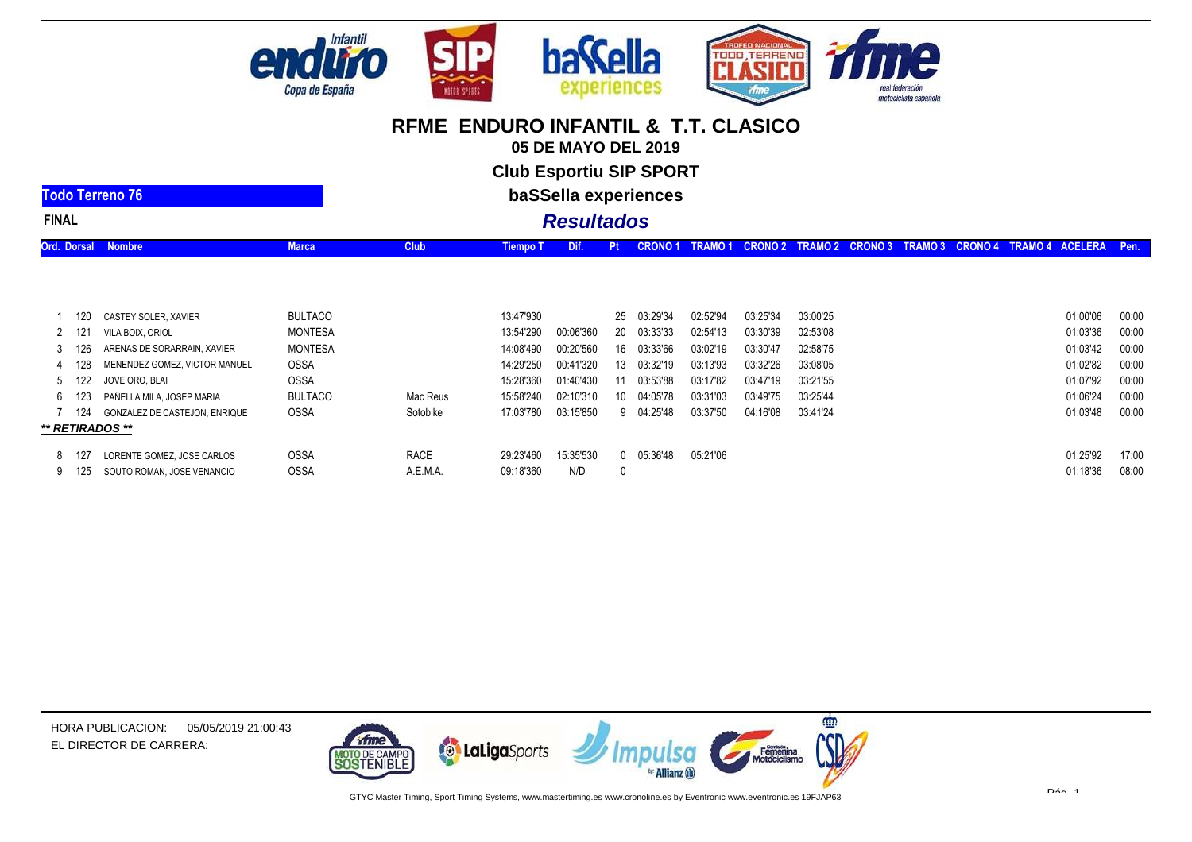

**05 DE MAYO DEL 2019**

**Club Esportiu SIP SPORT**

**baSSella experiences**

# **Resultados**

| Pt CRONO 1 TRAMO 1 CRONO 2 TRAMO 2 CRONO 3 TRAMO 3 CRONO 4 TRAMO 4 ACELERA Pen.<br><b>Ord. Dorsal Nombre</b><br>Tiempo T Dif. |
|-------------------------------------------------------------------------------------------------------------------------------|
|-------------------------------------------------------------------------------------------------------------------------------|

| -120<br>2 121<br>3 126<br>128 | CASTEY SOLER, XAVIER<br>VILA BOIX, ORIOL<br>ARENAS DE SORARRAIN, XAVIER<br>MENENDEZ GOMEZ, VICTOR MANUEL | <b>BULTACO</b><br>MONTESA<br>MONTESA<br><b>OSSA</b> |                         | 13:47'930<br>13:54'290<br>14:08'490<br>14:29'250 | 00:06'360<br>00:20'560<br>00:41'320 | 20<br>16<br>13 | 25 03:29'34<br>03:33'33<br>03:33'66<br>03:32'19 | 02:52'94<br>02:54'13<br>03:02'19<br>03:13'93 | 03:25'34<br>03:30'39<br>03:30'47<br>03:32'26 | 03:00'25<br>02:53'08<br>02:58'75<br>03:08'05 | 01:00'06<br>01:03'36<br>01:03'42<br>01:02'82 | 00:00<br>00:00<br>00:00<br>00:00 |
|-------------------------------|----------------------------------------------------------------------------------------------------------|-----------------------------------------------------|-------------------------|--------------------------------------------------|-------------------------------------|----------------|-------------------------------------------------|----------------------------------------------|----------------------------------------------|----------------------------------------------|----------------------------------------------|----------------------------------|
| 5 122<br>6 123                | JOVE ORO. BLAI<br>PAÑELLA MILA, JOSEP MARIA                                                              | <b>OSSA</b><br><b>BULTACO</b>                       | Mac Reus                | 15:28'360<br>15:58'240                           | 01:40'430<br>02:10'310              | 10 -           | 03:53'88<br>04:05'78                            | 03:17'82<br>03:31'03                         | 03:47'19<br>03:49'75                         | 03:21'55<br>03:25'44                         | 01:07'92<br>01:06'24                         | 00:00<br>00:00                   |
| -124<br>8 127                 | <b>GONZALEZ DE CASTEJON. ENRIQUE</b><br>** RETIRADOS **<br>LORENTE GOMEZ. JOSE CARLOS                    | <b>OSSA</b><br><b>OSSA</b>                          | Sotobike<br><b>RACE</b> | 17:03'780<br>29:23'460                           | 03:15'850<br>15:35'530              |                | 9 04:25'48<br>$0$ $05:36'48$                    | 03:37'50<br>05:21'06                         | 04:16'08                                     | 03:41'24                                     | 01:03'48<br>01:25'92                         | 00:00<br>17:00                   |
| 9 125                         | SOUTO ROMAN, JOSE VENANCIO                                                                               | <b>OSSA</b>                                         | A.E.M.A.                | 09:18'360                                        | N/D                                 |                |                                                 |                                              |                                              |                                              | 01:18'36                                     | 08:00                            |



HORA PUBLICACION:05/05/2019 21:00:43EL DIRECTOR DE CARRERA:

**Todo Terreno 76**

**FINAL**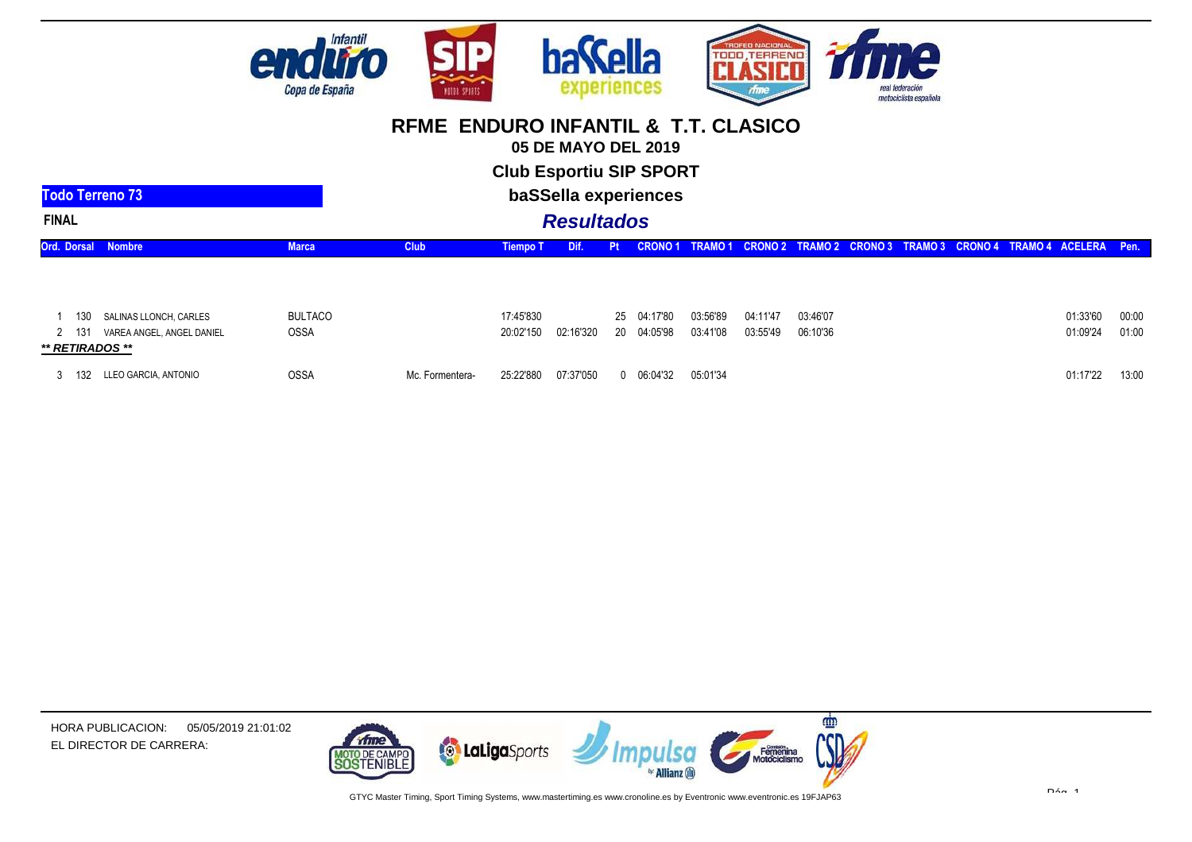

**05 DE MAYO DEL 2019**

**Club Esportiu SIP SPORT**

| Todo Terreno 73                                       |                |                 |                 | baSSella experiences |    |               |          |          |          |  |  |                                                              |       |
|-------------------------------------------------------|----------------|-----------------|-----------------|----------------------|----|---------------|----------|----------|----------|--|--|--------------------------------------------------------------|-------|
| <b>FINAL</b>                                          |                |                 |                 | <b>Resultados</b>    |    |               |          |          |          |  |  |                                                              |       |
| <b>Ord. Dorsal Nombre</b>                             | <b>Marca</b>   | <b>Club</b>     | <b>Tiempo T</b> | Dif.                 | Pt | <b>CRONO1</b> | TRAMO 1  |          |          |  |  | CRONO 2 TRAMO 2 CRONO 3 TRAMO 3 CRONO 4 TRAMO 4 ACELERA Pen. |       |
|                                                       |                |                 |                 |                      |    |               |          |          |          |  |  |                                                              |       |
| SALINAS LLONCH, CARLES<br>130                         | <b>BULTACO</b> |                 | 17:45'830       |                      | 25 | 04:17'80      | 03:56'89 | 04:11'47 | 03:46'07 |  |  | 01:33'60                                                     | 00:00 |
| VAREA ANGEL, ANGEL DANIEL<br>2 131<br>** RETIRADOS ** | <b>OSSA</b>    |                 | 20:02'150       | 02:16'320            | 20 | 04:05'98      | 03:41'08 | 03:55'49 | 06:10'36 |  |  | 01:09'24                                                     | 01:00 |
| LLEO GARCIA, ANTONIO<br>132                           | <b>OSSA</b>    | Mc. Formentera- | 25:22'880       | 07:37'050            |    | 06:04'32      | 05:01'34 |          |          |  |  | 01:17'22                                                     | 13:00 |



HORA PUBLICACION:05/05/2019 21:01:02EL DIRECTOR DE CARRERA: